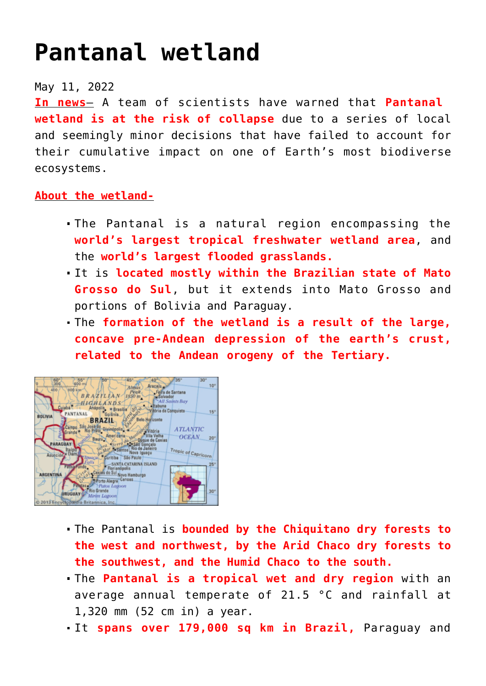## **[Pantanal wetland](https://journalsofindia.com/pantanal-wetland-2/)**

## May 11, 2022

**In news**– A team of scientists have warned that **Pantanal wetland is at the risk of collapse** due to a series of local and seemingly minor decisions that have failed to account for their cumulative impact on one of Earth's most biodiverse ecosystems.

## **About the wetland-**

- The Pantanal is a natural region encompassing the **world's largest tropical freshwater wetland area**, and the **world's largest flooded grasslands.**
- It is **located mostly within the Brazilian state of Mato Grosso do Sul**, but it extends into Mato Grosso and portions of Bolivia and Paraguay.
- The **formation of the wetland is a result of the large, concave pre-Andean depression of the earth's crust, related to the Andean orogeny of the Tertiary.**



- The Pantanal is **bounded by the Chiquitano dry forests to the west and northwest, by the Arid Chaco dry forests to the southwest, and the Humid Chaco to the south.**
- The **Pantanal is a tropical wet and dry region** with an average annual temperate of 21.5 °C and rainfall at 1,320 mm (52 cm in) a year.
- It **spans over 179,000 sq km in Brazil,** Paraguay and